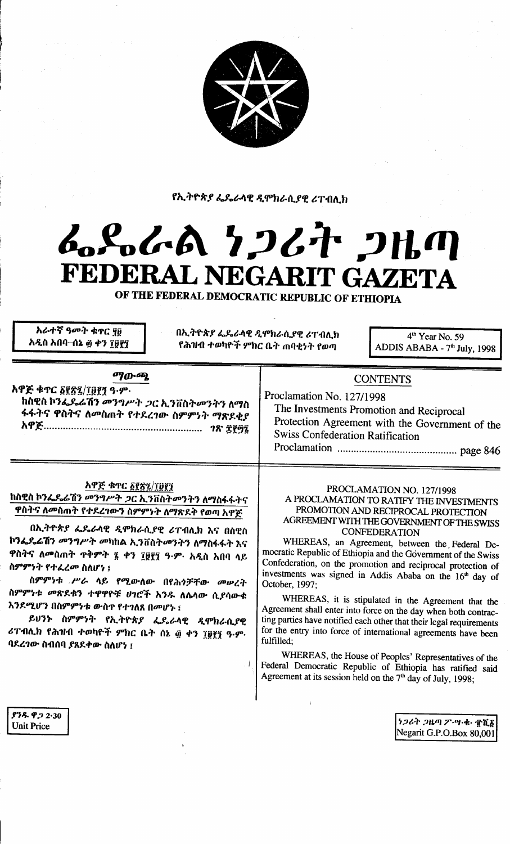

የኢትዮጵያ ፌዴራላዊ ዲሞክራሲያዊ ሪፐብሊክ

# んぺんめ クンムヤ ンルの FEDERAL NEGARIT GAZETA

OF THE FEDERAL DEMOCRATIC REPUBLIC OF ETHIOPIA

አራተኛ ዓመት ቁኖር ሃ፱ አዲስ አበባ–ሰኔ ፴ ቀን ፲፱፻፺ በኢትዮጵያ ፌዴራላዊ ዲሞክራሲያዊ ሪፐብሊክ የሕዝብ ተወካዮች ምክር ቤት **ጠ**ባቂነት የወጣ

 $\sqrt{ }$ 

4<sup>th</sup> Year No. 59 ADDIS ABABA - 7<sup>th</sup> July, 1998

### ማውጫ

አዋጅ ቁጥር ፩፻፳፯/፲፱፻፺ ዓ.ም. ከስዊስ ኮንፌዴሬሽን መንግሥት *ጋ*ር ኢንቨስትመንትን ለማስ ፋፋትና ዋስትና ለመስጠት የተደረገው ስምምነት ማጽደቂ*ያ* 

## አዋጅ ቁጥር ፩፻፳፯/፲፱፻፺

ከስዊስ ኮንፌዴሬሽን *መንግሥት ጋ*ር ኢንቨስት*መ*ንትን ለማስፋፋትና ዋስትና ለመስጠት የተደረገውን ስምምነት ለማጽደቅ የወጣ አዋጅ

በኢትዮጵያ ፌዴራላዊ ዲሞክራሲያዊ ሪፐብሊክ እና በስዊስ ኮንፌዴሬሽን *መንግሥት መ*ካከል ኢንቨስት*መ*ንትን ለማስፋፋት እና ዋስትና ለመስጠት ዋቅምት ፯ ቀን ፲፱፻፺ ዓ·ም· አዲስ አበባ ላይ ስምምንት የተፈረመ ስለሆነ ፤

ስምምነቱ ሥራ ላይ የሚውለው በየሕጎቻቸው መሠረት ስምምነቱ መጽደቁን ተዋዋዮቹ ሀገሮች አንዱ ለሴላው ሲያሳውቁ እንደሚሆን በስምምነቱ ውስዋ የተገለጸ በመሆኑ ፤

ይህንኑ ስምምነት የኢትዮጵ*ያ ፌ*ዴራላዊ *ዲ*ሞክራሲያዊ ሪፐብሊክ የሕዝብ ተወካዮች ምክር ቤት ሰኔ ፴ ቀን ፲፱፻፺ ዓ.ም. ባደረገው ስብሰባ ያጸደቀው ስለሆነ ፤

## **CONTENTS**

Proclamation No. 127/1998 The Investments Promotion and Reciprocal Protection Agreement with the Government of the **Swiss Confederation Ratification** 

#### PROCLAMATION NO. 127/1998 A PROCLAMATION TO RATIFY THE INVESTMENTS PROMOTION AND RECIPROCAL PROTECTION AGREEMENT WITH THE GOVERNMENT OF THE SWISS **CONFEDERATION**

WHEREAS, an Agreement, between the Federal Democratic Republic of Ethiopia and the Government of the Swiss Confederation, on the promotion and reciprocal protection of investments was signed in Addis Ababa on the 16<sup>th</sup> day of October, 1997;

WHEREAS, it is stipulated in the Agreement that the Agreement shall enter into force on the day when both contracting parties have notified each other that their legal requirements for the entry into force of international agreements have been fulfilled:

WHEREAS, the House of Peoples' Representatives of the Federal Democratic Republic of Ethiopia has ratified said Agreement at its session held on the  $7<sup>th</sup>$  day of July, 1998;

> ነጋሪት ጋዜጣ ፖ ሣ ቁ • ፹ሺ፩ Negarit G.P.O.Box 80,001

ያንዱ ዋ*ጋ* 2·30 **Unit Price**